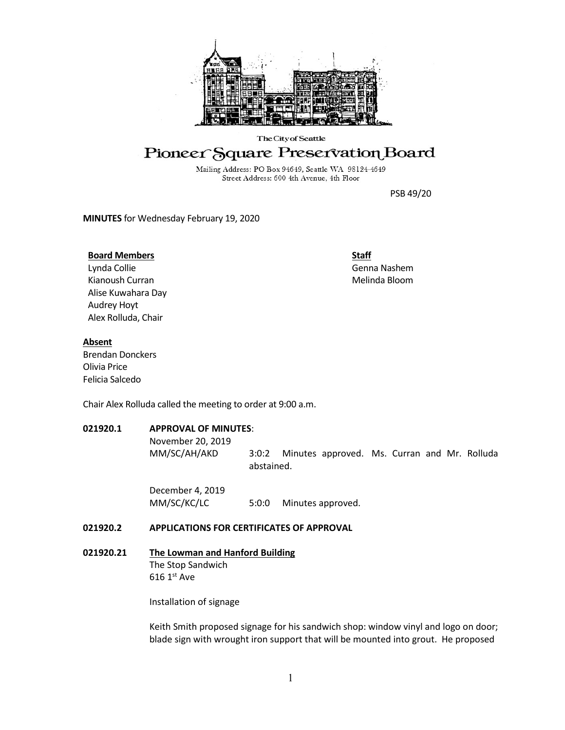

#### The City of Seattle

# Pioneer Square Preservation Board

Mailing Address: PO Box 94649, Seattle WA 98124-4649 Street Address: 600 4th Avenue, 4th Floor

PSB 49/20

**MINUTES** for Wednesday February 19, 2020

### **Board Members**

Lynda Collie Kianoush Curran Alise Kuwahara Day Audrey Hoyt Alex Rolluda, Chair

**Staff** Genna Nashem Melinda Bloom

### **Absent**

Brendan Donckers Olivia Price Felicia Salcedo

Chair Alex Rolluda called the meeting to order at 9:00 a.m.

# **021920.1 APPROVAL OF MINUTES**:

November 20, 2019

MM/SC/AH/AKD 3:0:2 Minutes approved. Ms. Curran and Mr. Rolluda abstained.

December 4, 2019 MM/SC/KC/LC 5:0:0 Minutes approved.

# **021920.2 APPLICATIONS FOR CERTIFICATES OF APPROVAL**

# **021920.21 The Lowman and Hanford Building**

The Stop Sandwich  $616 1<sup>st</sup>$  Ave

Installation of signage

Keith Smith proposed signage for his sandwich shop: window vinyl and logo on door; blade sign with wrought iron support that will be mounted into grout. He proposed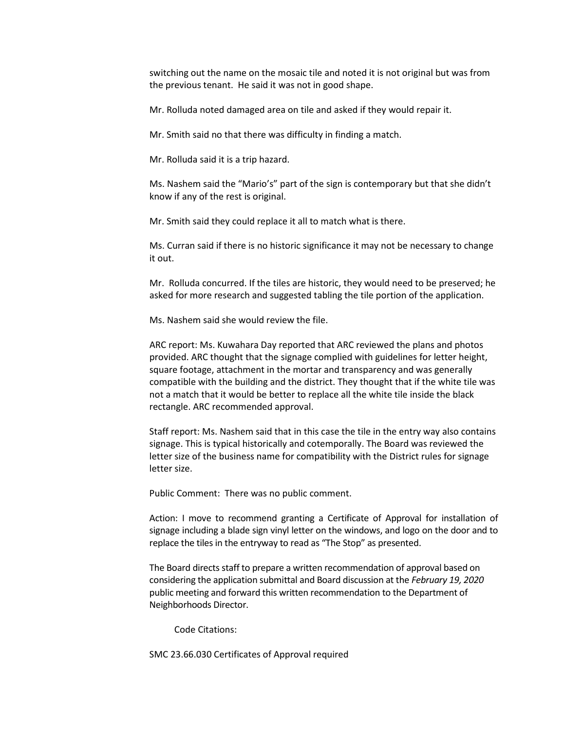switching out the name on the mosaic tile and noted it is not original but was from the previous tenant. He said it was not in good shape.

Mr. Rolluda noted damaged area on tile and asked if they would repair it.

Mr. Smith said no that there was difficulty in finding a match.

Mr. Rolluda said it is a trip hazard.

Ms. Nashem said the "Mario's" part of the sign is contemporary but that she didn't know if any of the rest is original.

Mr. Smith said they could replace it all to match what is there.

Ms. Curran said if there is no historic significance it may not be necessary to change it out.

Mr. Rolluda concurred. If the tiles are historic, they would need to be preserved; he asked for more research and suggested tabling the tile portion of the application.

Ms. Nashem said she would review the file.

ARC report: Ms. Kuwahara Day reported that ARC reviewed the plans and photos provided. ARC thought that the signage complied with guidelines for letter height, square footage, attachment in the mortar and transparency and was generally compatible with the building and the district. They thought that if the white tile was not a match that it would be better to replace all the white tile inside the black rectangle. ARC recommended approval.

Staff report: Ms. Nashem said that in this case the tile in the entry way also contains signage. This is typical historically and cotemporally. The Board was reviewed the letter size of the business name for compatibility with the District rules for signage letter size.

Public Comment: There was no public comment.

Action: I move to recommend granting a Certificate of Approval for installation of signage including a blade sign vinyl letter on the windows, and logo on the door and to replace the tiles in the entryway to read as "The Stop" as presented.

The Board directs staff to prepare a written recommendation of approval based on considering the application submittal and Board discussion at the *February 19, 2020*  public meeting and forward this written recommendation to the Department of Neighborhoods Director.

Code Citations:

SMC 23.66.030 Certificates of Approval required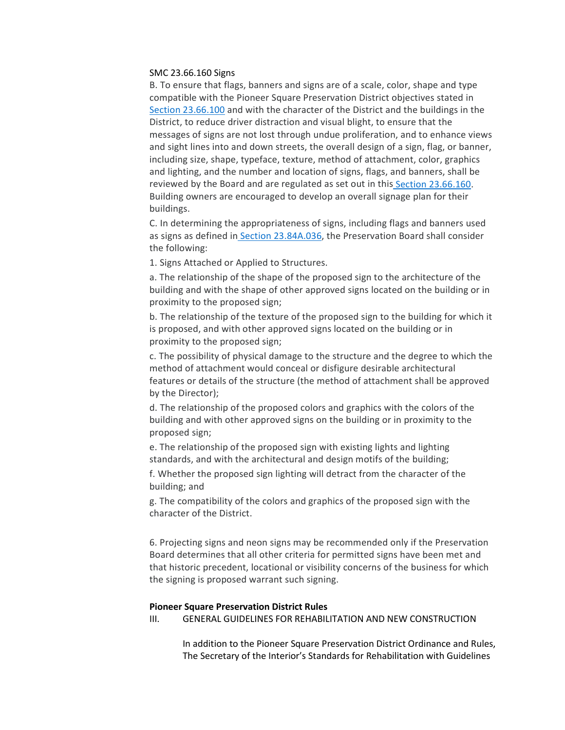#### SMC 23.66.160 Signs

B. To ensure that flags, banners and signs are of a scale, color, shape and type compatible with the Pioneer Square Preservation District objectives stated i[n](https://library.municode.com/wa/seattle/codes/municipal_code?nodeId=TIT23LAUSCO_SUBTITLE_IIILAUSRE_CH23.66SPREDI_SUBCHAPTER_IIPISQPRDI_23.66.100CRDILEFIPU) [Section 23.66.100](https://library.municode.com/wa/seattle/codes/municipal_code?nodeId=TIT23LAUSCO_SUBTITLE_IIILAUSRE_CH23.66SPREDI_SUBCHAPTER_IIPISQPRDI_23.66.100CRDILEFIPU) and with the character of the District and the buildings in the District, to reduce driver distraction and visual blight, to ensure that the messages of signs are not lost through undue proliferation, and to enhance views and sight lines into and down streets, the overall design of a sign, flag, or banner, including size, shape, typeface, texture, method of attachment, color, graphics and lighting, and the number and location of signs, flags, and banners, shall be reviewed by the Board and are regulated as set out in this [Section 23.66.160.](https://library.municode.com/wa/seattle/codes/municipal_code?nodeId=TIT23LAUSCO_SUBTITLE_IIILAUSRE_CH23.66SPREDI_SUBCHAPTER_IIPISQPRDI_23.66.160SI) Building owners are encouraged to develop an overall signage plan for their buildings.

C. In determining the appropriateness of signs, including flags and banners used as signs as defined in [Section 23.84A.036,](https://library.municode.com/wa/seattle/codes/municipal_code?nodeId=TIT23LAUSCO_SUBTITLE_IVAD_CH23.84ADE_23.84A.036S) the Preservation Board shall consider the following:

1. Signs Attached or Applied to Structures.

a. The relationship of the shape of the proposed sign to the architecture of the building and with the shape of other approved signs located on the building or in proximity to the proposed sign;

b. The relationship of the texture of the proposed sign to the building for which it is proposed, and with other approved signs located on the building or in proximity to the proposed sign;

c. The possibility of physical damage to the structure and the degree to which the method of attachment would conceal or disfigure desirable architectural features or details of the structure (the method of attachment shall be approved by the Director);

d. The relationship of the proposed colors and graphics with the colors of the building and with other approved signs on the building or in proximity to the proposed sign;

e. The relationship of the proposed sign with existing lights and lighting standards, and with the architectural and design motifs of the building;

f. Whether the proposed sign lighting will detract from the character of the building; and

g. The compatibility of the colors and graphics of the proposed sign with the character of the District.

6. Projecting signs and neon signs may be recommended only if the Preservation Board determines that all other criteria for permitted signs have been met and that historic precedent, locational or visibility concerns of the business for which the signing is proposed warrant such signing.

#### **Pioneer Square Preservation District Rules**

III. GENERAL GUIDELINES FOR REHABILITATION AND NEW CONSTRUCTION

In addition to the Pioneer Square Preservation District Ordinance and Rules, The Secretary of the Interior's Standards for Rehabilitation with Guidelines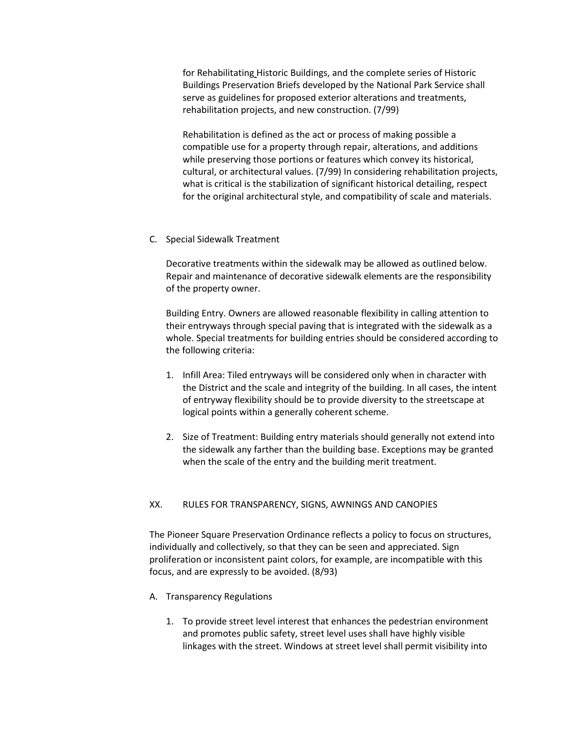for Rehabilitating Historic Buildings, and the complete series of Historic Buildings Preservation Briefs developed by the National Park Service shall serve as guidelines for proposed exterior alterations and treatments, rehabilitation projects, and new construction. (7/99)

Rehabilitation is defined as the act or process of making possible a compatible use for a property through repair, alterations, and additions while preserving those portions or features which convey its historical, cultural, or architectural values. (7/99) In considering rehabilitation projects, what is critical is the stabilization of significant historical detailing, respect for the original architectural style, and compatibility of scale and materials.

# C. Special Sidewalk Treatment

Decorative treatments within the sidewalk may be allowed as outlined below. Repair and maintenance of decorative sidewalk elements are the responsibility of the property owner.

Building Entry. Owners are allowed reasonable flexibility in calling attention to their entryways through special paving that is integrated with the sidewalk as a whole. Special treatments for building entries should be considered according to the following criteria:

- 1. Infill Area: Tiled entryways will be considered only when in character with the District and the scale and integrity of the building. In all cases, the intent of entryway flexibility should be to provide diversity to the streetscape at logical points within a generally coherent scheme.
- 2. Size of Treatment: Building entry materials should generally not extend into the sidewalk any farther than the building base. Exceptions may be granted when the scale of the entry and the building merit treatment.

# XX. RULES FOR TRANSPARENCY, SIGNS, AWNINGS AND CANOPIES

The Pioneer Square Preservation Ordinance reflects a policy to focus on structures, individually and collectively, so that they can be seen and appreciated. Sign proliferation or inconsistent paint colors, for example, are incompatible with this focus, and are expressly to be avoided. (8/93)

# A. Transparency Regulations

1. To provide street level interest that enhances the pedestrian environment and promotes public safety, street level uses shall have highly visible linkages with the street. Windows at street level shall permit visibility into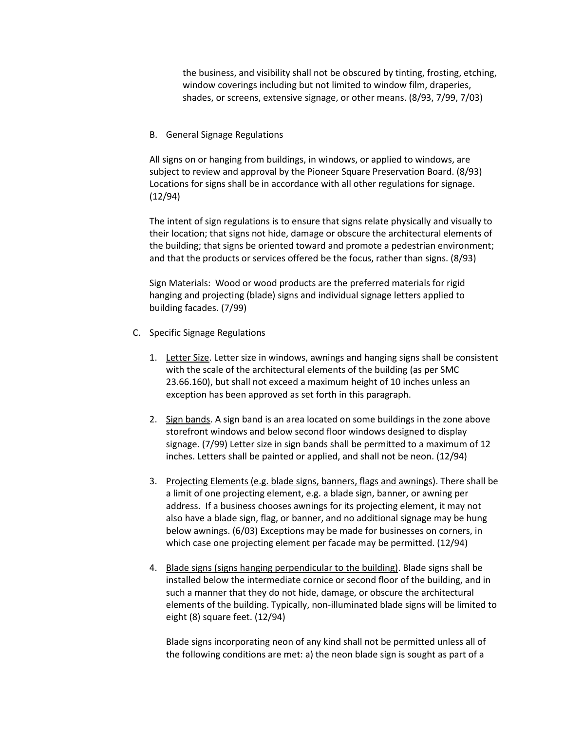the business, and visibility shall not be obscured by tinting, frosting, etching, window coverings including but not limited to window film, draperies, shades, or screens, extensive signage, or other means. (8/93, 7/99, 7/03)

B. General Signage Regulations

All signs on or hanging from buildings, in windows, or applied to windows, are subject to review and approval by the Pioneer Square Preservation Board. (8/93) Locations for signs shall be in accordance with all other regulations for signage. (12/94)

The intent of sign regulations is to ensure that signs relate physically and visually to their location; that signs not hide, damage or obscure the architectural elements of the building; that signs be oriented toward and promote a pedestrian environment; and that the products or services offered be the focus, rather than signs. (8/93)

Sign Materials: Wood or wood products are the preferred materials for rigid hanging and projecting (blade) signs and individual signage letters applied to building facades. (7/99)

- C. Specific Signage Regulations
	- 1. Letter Size. Letter size in windows, awnings and hanging signs shall be consistent with the scale of the architectural elements of the building (as per SMC 23.66.160), but shall not exceed a maximum height of 10 inches unless an exception has been approved as set forth in this paragraph.
	- 2. Sign bands. A sign band is an area located on some buildings in the zone above storefront windows and below second floor windows designed to display signage. (7/99) Letter size in sign bands shall be permitted to a maximum of 12 inches. Letters shall be painted or applied, and shall not be neon. (12/94)
	- 3. Projecting Elements (e.g. blade signs, banners, flags and awnings). There shall be a limit of one projecting element, e.g. a blade sign, banner, or awning per address. If a business chooses awnings for its projecting element, it may not also have a blade sign, flag, or banner, and no additional signage may be hung below awnings. (6/03) Exceptions may be made for businesses on corners, in which case one projecting element per facade may be permitted. (12/94)
	- 4. Blade signs (signs hanging perpendicular to the building). Blade signs shall be installed below the intermediate cornice or second floor of the building, and in such a manner that they do not hide, damage, or obscure the architectural elements of the building. Typically, non-illuminated blade signs will be limited to eight (8) square feet. (12/94)

Blade signs incorporating neon of any kind shall not be permitted unless all of the following conditions are met: a) the neon blade sign is sought as part of a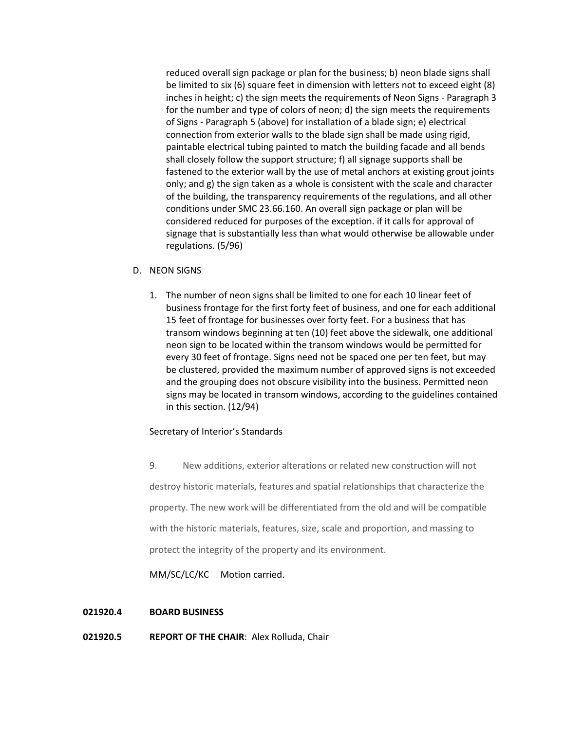reduced overall sign package or plan for the business; b) neon blade signs shall be limited to six (6) square feet in dimension with letters not to exceed eight (8) inches in height; c) the sign meets the requirements of Neon Signs - Paragraph 3 for the number and type of colors of neon; d) the sign meets the requirements of Signs - Paragraph 5 (above) for installation of a blade sign; e) electrical connection from exterior walls to the blade sign shall be made using rigid, paintable electrical tubing painted to match the building facade and all bends shall closely follow the support structure; f) all signage supports shall be fastened to the exterior wall by the use of metal anchors at existing grout joints only; and g) the sign taken as a whole is consistent with the scale and character of the building, the transparency requirements of the regulations, and all other conditions under SMC 23.66.160. An overall sign package or plan will be considered reduced for purposes of the exception. if it calls for approval of signage that is substantially less than what would otherwise be allowable under regulations. (5/96)

### D. NEON SIGNS

1. The number of neon signs shall be limited to one for each 10 linear feet of business frontage for the first forty feet of business, and one for each additional 15 feet of frontage for businesses over forty feet. For a business that has transom windows beginning at ten (10) feet above the sidewalk, one additional neon sign to be located within the transom windows would be permitted for every 30 feet of frontage. Signs need not be spaced one per ten feet, but may be clustered, provided the maximum number of approved signs is not exceeded and the grouping does not obscure visibility into the business. Permitted neon signs may be located in transom windows, according to the guidelines contained in this section. (12/94)

# Secretary of Interior's Standards

9. New additions, exterior alterations or related new construction will not destroy historic materials, features and spatial relationships that characterize the property. The new work will be differentiated from the old and will be compatible with the historic materials, features, size, scale and proportion, and massing to protect the integrity of the property and its environment.

MM/SC/LC/KC Motion carried.

#### **021920.4 BOARD BUSINESS**

**021920.5 REPORT OF THE CHAIR**: Alex Rolluda, Chair